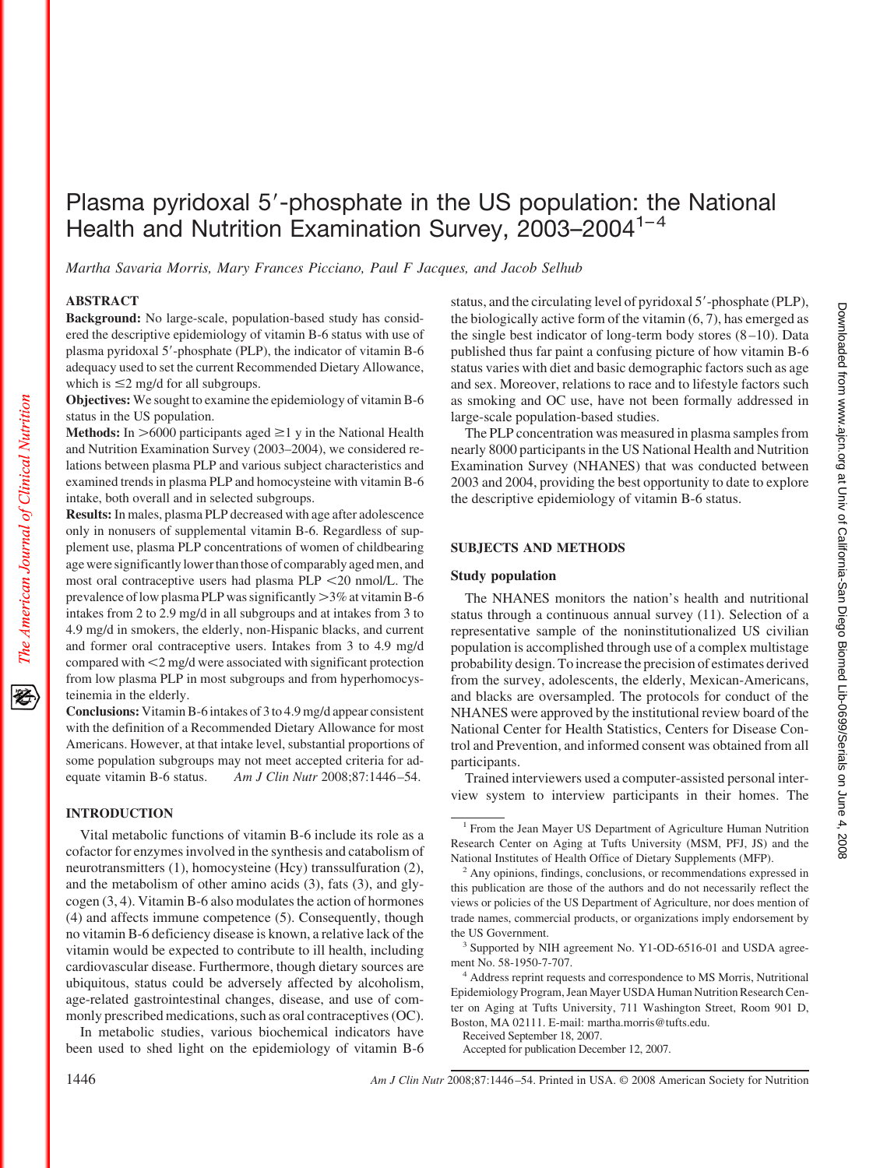# Plasma pyridoxal 5'-phosphate in the US population: the National Health and Nutrition Examination Survey, 2003-2004<sup>1-4</sup>

*Martha Savaria Morris, Mary Frances Picciano, Paul F Jacques, and Jacob Selhub*

# **ABSTRACT**

The American Journal of Clinical Nutrition

**Background:** No large-scale, population-based study has considered the descriptive epidemiology of vitamin B-6 status with use of plasma pyridoxal 5'-phosphate (PLP), the indicator of vitamin B-6 adequacy used to set the current Recommended Dietary Allowance, which is  $\leq$ 2 mg/d for all subgroups.

**Objectives:** We sought to examine the epidemiology of vitamin B-6 status in the US population.

**Methods:** In  $>6000$  participants aged  $\geq 1$  y in the National Health and Nutrition Examination Survey (2003–2004), we considered relations between plasma PLP and various subject characteristics and examined trends in plasma PLP and homocysteine with vitamin B-6 intake, both overall and in selected subgroups.

**Results:**In males, plasma PLP decreased with age after adolescence only in nonusers of supplemental vitamin B-6. Regardless of supplement use, plasma PLP concentrations of women of childbearing age were significantly lower than those of comparably aged men, and most oral contraceptive users had plasma PLP 20 nmol/L. The prevalence of low plasma PLP was significantly  $>$ 3% at vitamin B-6 intakes from 2 to 2.9 mg/d in all subgroups and at intakes from 3 to 4.9 mg/d in smokers, the elderly, non-Hispanic blacks, and current and former oral contraceptive users. Intakes from 3 to 4.9 mg/d compared with  $\leq 2$  mg/d were associated with significant protection from low plasma PLP in most subgroups and from hyperhomocysteinemia in the elderly.

**Conclusions:** Vitamin B-6 intakes of 3 to 4.9 mg/d appear consistent with the definition of a Recommended Dietary Allowance for most Americans. However, at that intake level, substantial proportions of some population subgroups may not meet accepted criteria for adequate vitamin B-6 status. *Am J Clin Nutr* 2008;87:1446 –54.

#### **INTRODUCTION**

Vital metabolic functions of vitamin B-6 include its role as a cofactor for enzymes involved in the synthesis and catabolism of neurotransmitters (1), homocysteine (Hcy) transsulfuration (2), and the metabolism of other amino acids (3), fats (3), and glycogen (3, 4). Vitamin B-6 also modulates the action of hormones (4) and affects immune competence (5). Consequently, though no vitamin B-6 deficiency disease is known, a relative lack of the vitamin would be expected to contribute to ill health, including cardiovascular disease. Furthermore, though dietary sources are ubiquitous, status could be adversely affected by alcoholism, age-related gastrointestinal changes, disease, and use of commonly prescribed medications, such as oral contraceptives (OC).

In metabolic studies, various biochemical indicators have been used to shed light on the epidemiology of vitamin B-6 status, and the circulating level of pyridoxal 5'-phosphate (PLP), the biologically active form of the vitamin (6, 7), has emerged as the single best indicator of long-term body stores  $(8-10)$ . Data published thus far paint a confusing picture of how vitamin B-6 status varies with diet and basic demographic factors such as age and sex. Moreover, relations to race and to lifestyle factors such as smoking and OC use, have not been formally addressed in large-scale population-based studies.

The PLP concentration was measured in plasma samples from nearly 8000 participants in the US National Health and Nutrition Examination Survey (NHANES) that was conducted between 2003 and 2004, providing the best opportunity to date to explore the descriptive epidemiology of vitamin B-6 status.

#### **SUBJECTS AND METHODS**

# **Study population**

The NHANES monitors the nation's health and nutritional status through a continuous annual survey (11). Selection of a representative sample of the noninstitutionalized US civilian population is accomplished through use of a complex multistage probability design. To increase the precision of estimates derived from the survey, adolescents, the elderly, Mexican-Americans, and blacks are oversampled. The protocols for conduct of the NHANES were approved by the institutional review board of the National Center for Health Statistics, Centers for Disease Control and Prevention, and informed consent was obtained from all participants.

Trained interviewers used a computer-assisted personal interview system to interview participants in their homes. The

Received September 18, 2007.

Accepted for publication December 12, 2007.

<sup>&</sup>lt;sup>1</sup> From the Jean Mayer US Department of Agriculture Human Nutrition Research Center on Aging at Tufts University (MSM, PFJ, JS) and the National Institutes of Health Office of Dietary Supplements (MFP).

<sup>&</sup>lt;sup>2</sup> Any opinions, findings, conclusions, or recommendations expressed in this publication are those of the authors and do not necessarily reflect the views or policies of the US Department of Agriculture, nor does mention of trade names, commercial products, or organizations imply endorsement by the US Government.

<sup>&</sup>lt;sup>3</sup> Supported by NIH agreement No. Y1-OD-6516-01 and USDA agreement No. 58-1950-7-707.

<sup>4</sup> Address reprint requests and correspondence to MS Morris, Nutritional Epidemiology Program, Jean Mayer USDA Human Nutrition Research Center on Aging at Tufts University, 711 Washington Street, Room 901 D, Boston, MA 02111. E-mail: martha.morris@tufts.edu.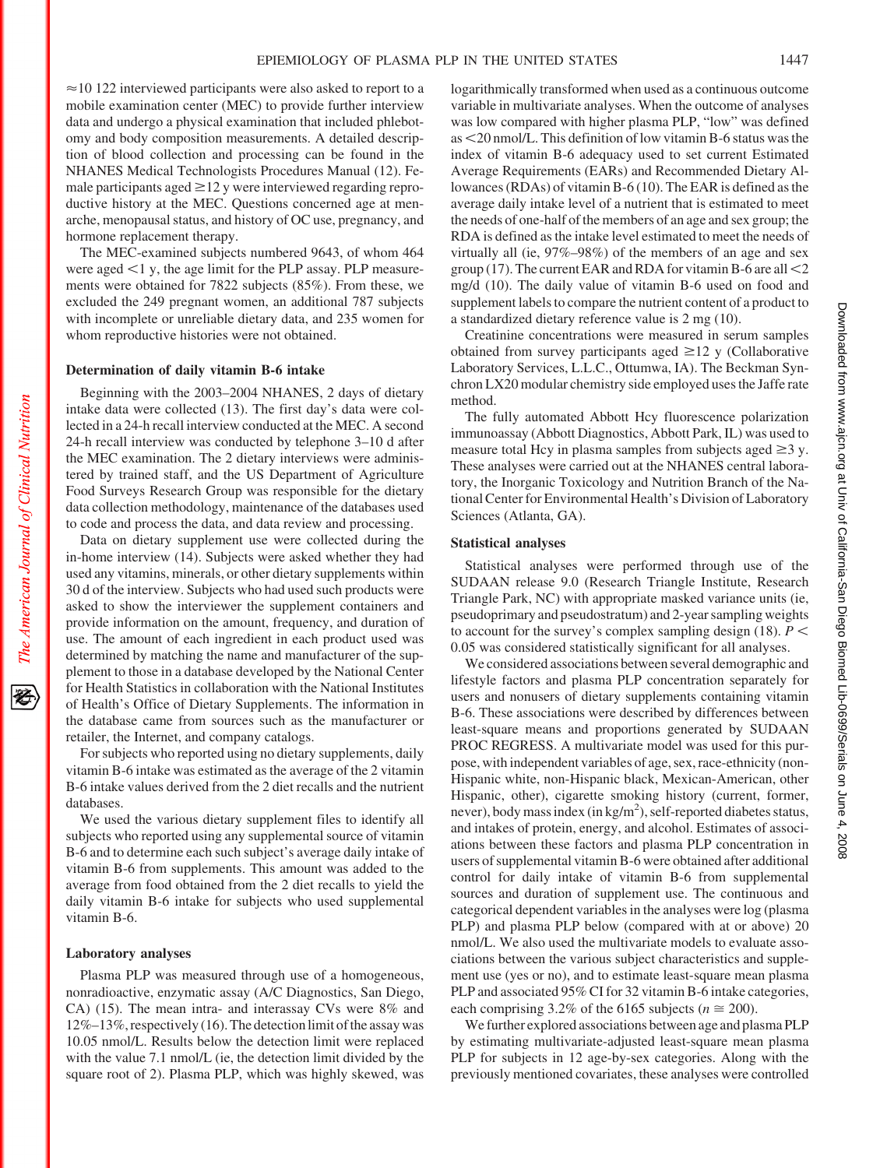$\approx$  10 122 interviewed participants were also asked to report to a mobile examination center (MEC) to provide further interview data and undergo a physical examination that included phlebotomy and body composition measurements. A detailed description of blood collection and processing can be found in the NHANES Medical Technologists Procedures Manual (12). Female participants aged  $\geq$  12 y were interviewed regarding reproductive history at the MEC. Questions concerned age at menarche, menopausal status, and history of OC use, pregnancy, and hormone replacement therapy.

The MEC-examined subjects numbered 9643, of whom 464 were aged  $<$ 1 y, the age limit for the PLP assay. PLP measurements were obtained for 7822 subjects (85%). From these, we excluded the 249 pregnant women, an additional 787 subjects with incomplete or unreliable dietary data, and 235 women for whom reproductive histories were not obtained.

# **Determination of daily vitamin B-6 intake**

Beginning with the 2003–2004 NHANES, 2 days of dietary intake data were collected (13). The first day's data were collected in a 24-h recall interview conducted at the MEC. A second 24-h recall interview was conducted by telephone 3–10 d after the MEC examination. The 2 dietary interviews were administered by trained staff, and the US Department of Agriculture Food Surveys Research Group was responsible for the dietary data collection methodology, maintenance of the databases used to code and process the data, and data review and processing.

Data on dietary supplement use were collected during the in-home interview (14). Subjects were asked whether they had used any vitamins, minerals, or other dietary supplements within 30 d of the interview. Subjects who had used such products were asked to show the interviewer the supplement containers and provide information on the amount, frequency, and duration of use. The amount of each ingredient in each product used was determined by matching the name and manufacturer of the supplement to those in a database developed by the National Center for Health Statistics in collaboration with the National Institutes of Health's Office of Dietary Supplements. The information in the database came from sources such as the manufacturer or retailer, the Internet, and company catalogs.

For subjects who reported using no dietary supplements, daily vitamin B-6 intake was estimated as the average of the 2 vitamin B-6 intake values derived from the 2 diet recalls and the nutrient databases.

We used the various dietary supplement files to identify all subjects who reported using any supplemental source of vitamin B-6 and to determine each such subject's average daily intake of vitamin B-6 from supplements. This amount was added to the average from food obtained from the 2 diet recalls to yield the daily vitamin B-6 intake for subjects who used supplemental vitamin B-6.

#### **Laboratory analyses**

Plasma PLP was measured through use of a homogeneous, nonradioactive, enzymatic assay (A/C Diagnostics, San Diego, CA) (15). The mean intra- and interassay CVs were 8% and 12%–13%, respectively (16). The detection limit of the assay was 10.05 nmol/L. Results below the detection limit were replaced with the value 7.1 nmol/L (ie, the detection limit divided by the square root of 2). Plasma PLP, which was highly skewed, was logarithmically transformed when used as a continuous outcome variable in multivariate analyses. When the outcome of analyses was low compared with higher plasma PLP, "low" was defined as 20 nmol/L. This definition of low vitamin B-6 status was the index of vitamin B-6 adequacy used to set current Estimated Average Requirements (EARs) and Recommended Dietary Allowances (RDAs) of vitamin B-6 (10). The EAR is defined as the average daily intake level of a nutrient that is estimated to meet the needs of one-half of the members of an age and sex group; the RDA is defined as the intake level estimated to meet the needs of virtually all (ie, 97%–98%) of the members of an age and sex group (17). The current EAR and RDA for vitamin B-6 are all  $<$ 2 mg/d (10). The daily value of vitamin B-6 used on food and supplement labels to compare the nutrient content of a product to a standardized dietary reference value is 2 mg (10).

Creatinine concentrations were measured in serum samples obtained from survey participants aged  $\geq$ 12 y (Collaborative Laboratory Services, L.L.C., Ottumwa, IA). The Beckman Synchron LX20 modular chemistry side employed uses the Jaffe rate method.

The fully automated Abbott Hcy fluorescence polarization immunoassay (Abbott Diagnostics, Abbott Park, IL) was used to measure total Hcy in plasma samples from subjects aged  $\geq$ 3 y. These analyses were carried out at the NHANES central laboratory, the Inorganic Toxicology and Nutrition Branch of the National Center for Environmental Health's Division of Laboratory Sciences (Atlanta, GA).

#### **Statistical analyses**

Statistical analyses were performed through use of the SUDAAN release 9.0 (Research Triangle Institute, Research Triangle Park, NC) with appropriate masked variance units (ie, pseudoprimary and pseudostratum) and 2-year sampling weights to account for the survey's complex sampling design  $(18)$ .  $P \leq$ 0.05 was considered statistically significant for all analyses.

We considered associations between several demographic and lifestyle factors and plasma PLP concentration separately for users and nonusers of dietary supplements containing vitamin B-6. These associations were described by differences between least-square means and proportions generated by SUDAAN PROC REGRESS. A multivariate model was used for this purpose, with independent variables of age, sex, race-ethnicity (non-Hispanic white, non-Hispanic black, Mexican-American, other Hispanic, other), cigarette smoking history (current, former, never), body mass index (in kg/m<sup>2</sup>), self-reported diabetes status, and intakes of protein, energy, and alcohol. Estimates of associations between these factors and plasma PLP concentration in users of supplemental vitamin B-6 were obtained after additional control for daily intake of vitamin B-6 from supplemental sources and duration of supplement use. The continuous and categorical dependent variables in the analyses were log (plasma PLP) and plasma PLP below (compared with at or above) 20 nmol/L. We also used the multivariate models to evaluate associations between the various subject characteristics and supplement use (yes or no), and to estimate least-square mean plasma PLP and associated 95% CI for 32 vitamin B-6 intake categories, each comprising 3.2% of the 6165 subjects ( $n \approx 200$ ).

We further explored associations between age and plasma PLP by estimating multivariate-adjusted least-square mean plasma PLP for subjects in 12 age-by-sex categories. Along with the previously mentioned covariates, these analyses were controlled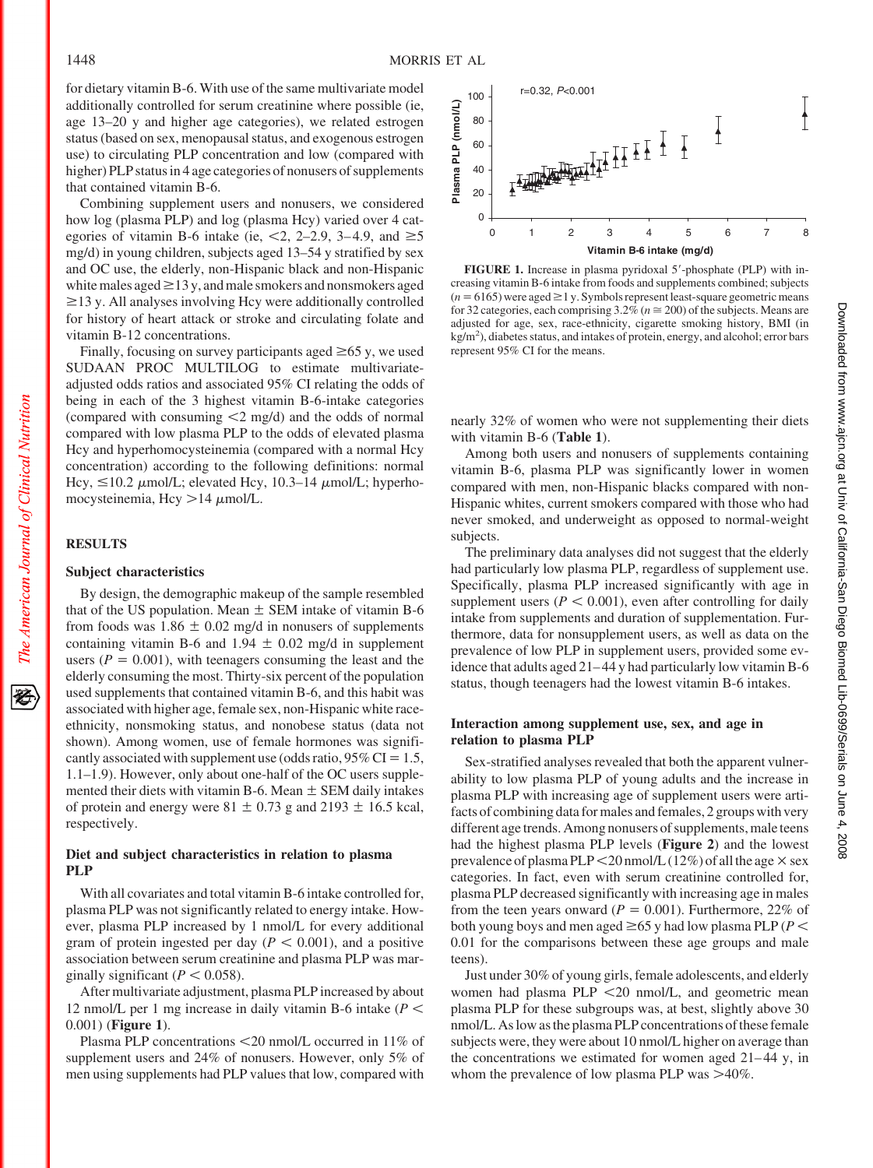for dietary vitamin B-6. With use of the same multivariate model additionally controlled for serum creatinine where possible (ie, age 13–20 y and higher age categories), we related estrogen status (based on sex, menopausal status, and exogenous estrogen use) to circulating PLP concentration and low (compared with higher) PLP status in 4 age categories of nonusers of supplements that contained vitamin B-6.

Combining supplement users and nonusers, we considered how log (plasma PLP) and log (plasma Hcy) varied over 4 categories of vitamin B-6 intake (ie,  $\lt 2$ , 2–2.9, 3–4.9, and  $\ge 5$ mg/d) in young children, subjects aged 13–54 y stratified by sex and OC use, the elderly, non-Hispanic black and non-Hispanic white males aged $\geq$ 13 y, and male smokers and nonsmokers aged  $\geq$ 13 y. All analyses involving Hcy were additionally controlled for history of heart attack or stroke and circulating folate and vitamin B-12 concentrations.

Finally, focusing on survey participants aged  $\geq 65$  y, we used SUDAAN PROC MULTILOG to estimate multivariateadjusted odds ratios and associated 95% CI relating the odds of being in each of the 3 highest vitamin B-6-intake categories (compared with consuming  $\leq 2$  mg/d) and the odds of normal compared with low plasma PLP to the odds of elevated plasma Hcy and hyperhomocysteinemia (compared with a normal Hcy concentration) according to the following definitions: normal Hcy,  $\leq 10.2 \mu$ mol/L; elevated Hcy, 10.3–14  $\mu$ mol/L; hyperhomocysteinemia, Hcy  $>$  14  $\mu$ mol/L.

#### **RESULTS**

The American Journal of Clinical Nutrition

移

#### **Subject characteristics**

By design, the demographic makeup of the sample resembled that of the US population. Mean  $\pm$  SEM intake of vitamin B-6 from foods was  $1.86 \pm 0.02$  mg/d in nonusers of supplements containing vitamin B-6 and  $1.94 \pm 0.02$  mg/d in supplement users  $(P = 0.001)$ , with teenagers consuming the least and the elderly consuming the most. Thirty-six percent of the population used supplements that contained vitamin B-6, and this habit was associated with higher age, female sex, non-Hispanic white raceethnicity, nonsmoking status, and nonobese status (data not shown). Among women, use of female hormones was significantly associated with supplement use (odds ratio,  $95\%$  CI = 1.5, 1.1–1.9). However, only about one-half of the OC users supplemented their diets with vitamin B-6. Mean  $\pm$  SEM daily intakes of protein and energy were  $81 \pm 0.73$  g and  $2193 \pm 16.5$  kcal, respectively.

# **Diet and subject characteristics in relation to plasma PLP**

With all covariates and total vitamin B-6 intake controlled for, plasma PLP was not significantly related to energy intake. However, plasma PLP increased by 1 nmol/L for every additional gram of protein ingested per day  $(P < 0.001)$ , and a positive association between serum creatinine and plasma PLP was marginally significant  $(P < 0.058)$ .

After multivariate adjustment, plasma PLP increased by about 12 nmol/L per 1 mg increase in daily vitamin B-6 intake (*P* 0.001) (**Figure 1**).

Plasma PLP concentrations 20 nmol/L occurred in 11% of supplement users and 24% of nonusers. However, only 5% of men using supplements had PLP values that low, compared with



FIGURE 1. Increase in plasma pyridoxal 5'-phosphate (PLP) with increasing vitamin B-6 intake from foods and supplements combined; subjects  $(n = 6165)$  were aged  $\geq 1$  y. Symbols represent least-square geometric means for 32 categories, each comprising  $3.2\%$  ( $n \approx 200$ ) of the subjects. Means are adjusted for age, sex, race-ethnicity, cigarette smoking history, BMI (in kg/m2 ), diabetes status, and intakes of protein, energy, and alcohol; error bars represent 95% CI for the means.

nearly 32% of women who were not supplementing their diets with vitamin B-6 (**Table 1**).

Among both users and nonusers of supplements containing vitamin B-6, plasma PLP was significantly lower in women compared with men, non-Hispanic blacks compared with non-Hispanic whites, current smokers compared with those who had never smoked, and underweight as opposed to normal-weight subjects.

The preliminary data analyses did not suggest that the elderly had particularly low plasma PLP, regardless of supplement use. Specifically, plasma PLP increased significantly with age in supplement users  $(P < 0.001)$ , even after controlling for daily intake from supplements and duration of supplementation. Furthermore, data for nonsupplement users, as well as data on the prevalence of low PLP in supplement users, provided some evidence that adults aged 21–44 y had particularly low vitamin B-6 status, though teenagers had the lowest vitamin B-6 intakes.

# **Interaction among supplement use, sex, and age in relation to plasma PLP**

Sex-stratified analyses revealed that both the apparent vulnerability to low plasma PLP of young adults and the increase in plasma PLP with increasing age of supplement users were artifacts of combining data for males and females, 2 groups with very different age trends. Among nonusers of supplements, male teens had the highest plasma PLP levels (**Figure 2**) and the lowest prevalence of plasma PLP < 20 nmol/L (12%) of all the age  $\times$  sex categories. In fact, even with serum creatinine controlled for, plasma PLP decreased significantly with increasing age in males from the teen years onward  $(P = 0.001)$ . Furthermore, 22% of both young boys and men aged  $\geq 65$  y had low plasma PLP ( $P <$ 0.01 for the comparisons between these age groups and male teens).

Just under 30% of young girls, female adolescents, and elderly women had plasma  $PLP \leq 20$  nmol/L, and geometric mean plasma PLP for these subgroups was, at best, slightly above 30 nmol/L. As low as the plasma PLP concentrations of these female subjects were, they were about 10 nmol/L higher on average than the concentrations we estimated for women aged  $21-44$  y, in whom the prevalence of low plasma PLP was  $>40\%$ .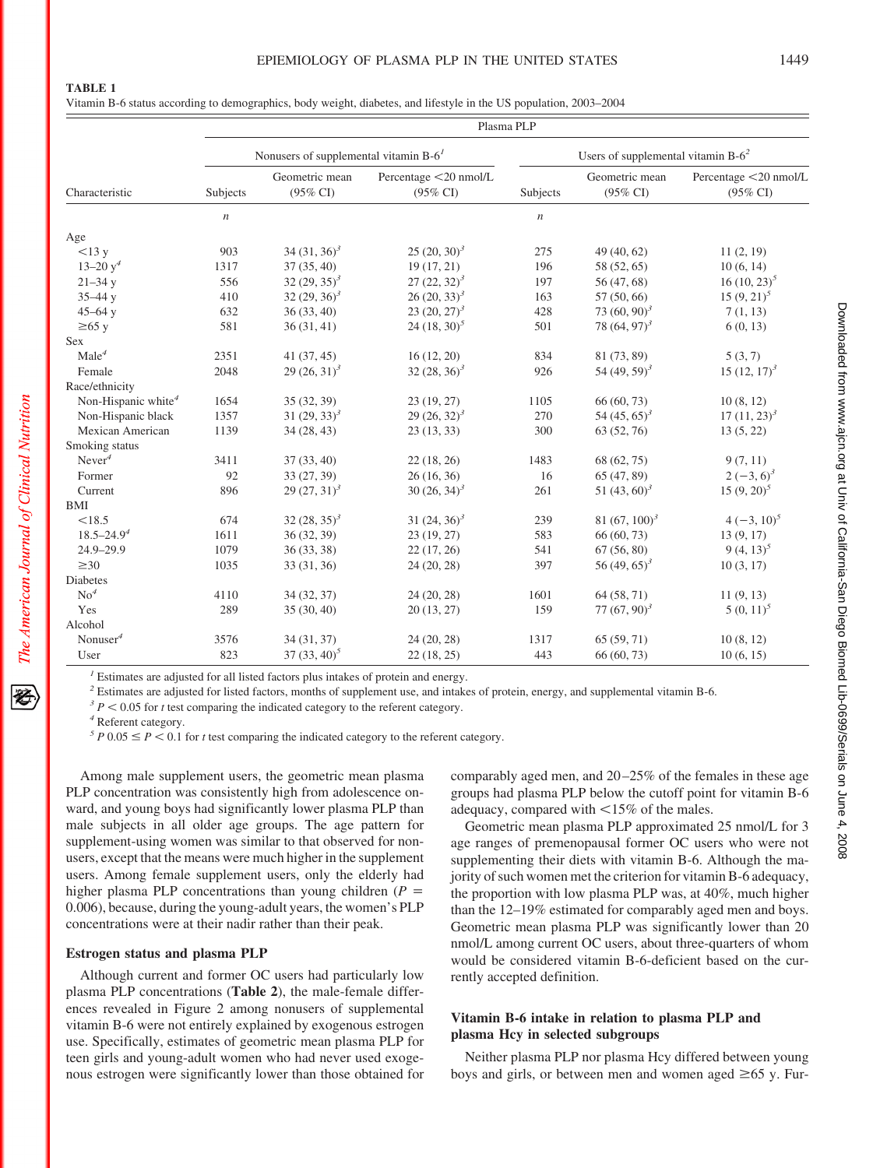The American Journal of Clinical Nutrition

Vitamin B-6 status according to demographics, body weight, diabetes, and lifestyle in the US population, 2003–2004

|                                 | Plasma PLP                              |                                       |                                              |                                       |                                       |                                              |  |
|---------------------------------|-----------------------------------------|---------------------------------------|----------------------------------------------|---------------------------------------|---------------------------------------|----------------------------------------------|--|
| Characteristic                  | Nonusers of supplemental vitamin $B-61$ |                                       |                                              | Users of supplemental vitamin $B-6^2$ |                                       |                                              |  |
|                                 | Subjects                                | Geometric mean<br>$(95\% \text{ CI})$ | Percentage <20 nmol/L<br>$(95\% \text{ CI})$ | Subjects                              | Geometric mean<br>$(95\% \text{ CI})$ | Percentage <20 nmol/L<br>$(95\% \text{ CI})$ |  |
|                                 | $\boldsymbol{n}$                        |                                       |                                              | $\boldsymbol{n}$                      |                                       |                                              |  |
| Age                             |                                         |                                       |                                              |                                       |                                       |                                              |  |
| <13y                            | 903                                     | $34(31, 36)^3$                        | $25(20, 30)^3$                               | 275                                   | 49 (40, 62)                           | 11(2, 19)                                    |  |
| $13 - 20y^4$                    | 1317                                    | 37(35, 40)                            | 19(17, 21)                                   | 196                                   | 58 (52, 65)                           | 10(6, 14)                                    |  |
| $21 - 34y$                      | 556                                     | 32 $(29, 35)^3$                       | $27(22, 32)^3$                               | 197                                   | 56 (47, 68)                           | $16(10, 23)^{5}$                             |  |
| $35 - 44y$                      | 410                                     | 32 (29, 36) <sup>3</sup>              | $26(20, 33)^3$                               | 163                                   | 57 (50, 66)                           | $15(9, 21)^{5}$                              |  |
| $45 - 64$ y                     | 632                                     | 36(33, 40)                            | $23(20, 27)^3$                               | 428                                   | 73 (60, 90) <sup>3</sup>              | 7(1, 13)                                     |  |
| $\geq 65$ y                     | 581                                     | 36(31, 41)                            | 24 $(18, 30)^5$                              | 501                                   | 78 $(64, 97)^3$                       | 6(0, 13)                                     |  |
| <b>Sex</b>                      |                                         |                                       |                                              |                                       |                                       |                                              |  |
| Male <sup>4</sup>               | 2351                                    | 41(37, 45)                            | 16(12, 20)                                   | 834                                   | 81 (73, 89)                           | 5(3, 7)                                      |  |
| Female                          | 2048                                    | 29 $(26, 31)^3$                       | $32(28, 36)^3$                               | 926                                   | 54 (49, 59) <sup>3</sup>              | $15(12, 17)^3$                               |  |
| Race/ethnicity                  |                                         |                                       |                                              |                                       |                                       |                                              |  |
| Non-Hispanic white <sup>4</sup> | 1654                                    | 35 (32, 39)                           | 23(19, 27)                                   | 1105                                  | 66 (60, 73)                           | 10(8, 12)                                    |  |
| Non-Hispanic black              | 1357                                    | 31 $(29, 33)^3$                       | 29 $(26, 32)^3$                              | 270                                   | 54 $(45, 65)^3$                       | $17(11, 23)^3$                               |  |
| Mexican American                | 1139                                    | 34(28, 43)                            | 23(13, 33)                                   | 300                                   | 63 (52, 76)                           | 13(5, 22)                                    |  |
| Smoking status                  |                                         |                                       |                                              |                                       |                                       |                                              |  |
| Never <sup>4</sup>              | 3411                                    | 37(33, 40)                            | 22(18, 26)                                   | 1483                                  | 68 (62, 75)                           | 9(7, 11)                                     |  |
| Former                          | 92                                      | 33 (27, 39)                           | 26(16, 36)                                   | 16                                    | 65(47, 89)                            | $2(-3, 6)^3$                                 |  |
| Current                         | 896                                     | $29(27, 31)^3$                        | $30(26, 34)^3$                               | 261                                   | 51 (43, 60) <sup>3</sup>              | $15(9, 20)^{5}$                              |  |
| <b>BMI</b>                      |                                         |                                       |                                              |                                       |                                       |                                              |  |
| < 18.5                          | 674                                     | 32 $(28, 35)^3$                       | 31 $(24, 36)^3$                              | 239                                   | 81 (67, 100) <sup>3</sup>             | $4(-3, 10)^{5}$                              |  |
| $18.5 - 24.94$                  | 1611                                    | 36 (32, 39)                           | 23(19, 27)                                   | 583                                   | 66 (60, 73)                           | 13(9, 17)                                    |  |
| 24.9-29.9                       | 1079                                    | 36(33, 38)                            | 22(17, 26)                                   | 541                                   | 67(56, 80)                            | $9(4, 13)^{5}$                               |  |
| $\geq 30$                       | 1035                                    | 33 (31, 36)                           | 24(20, 28)                                   | 397                                   | 56 (49, 65) <sup>3</sup>              | 10(3, 17)                                    |  |
| Diabetes                        |                                         |                                       |                                              |                                       |                                       |                                              |  |
| $\mathrm{No}^4$                 | 4110                                    | 34 (32, 37)                           | 24(20, 28)                                   | 1601                                  | 64 (58, 71)                           | 11(9, 13)                                    |  |
| Yes                             | 289                                     | 35(30, 40)                            | 20(13, 27)                                   | 159                                   | 77 $(67, 90)^3$                       | $5(0, 11)^{5}$                               |  |
| Alcohol                         |                                         |                                       |                                              |                                       |                                       |                                              |  |
| Nonuser <sup>4</sup>            | 3576                                    | 34 (31, 37)                           | 24(20, 28)                                   | 1317                                  | 65(59, 71)                            | 10(8, 12)                                    |  |
| User                            | 823                                     | 37 $(33, 40)^5$                       | 22(18, 25)                                   | 443                                   | 66 (60, 73)                           | 10(6, 15)                                    |  |

Estimates are adjusted for all listed factors plus intakes of protein and energy.

*<sup>2</sup>* Estimates are adjusted for listed factors, months of supplement use, and intakes of protein, energy, and supplemental vitamin B-6.

 $3 P < 0.05$  for *t* test comparing the indicated category to the referent category.

*<sup>4</sup>* Referent category.

 $5P_{0.05} \leq P < 0.1$  for *t* test comparing the indicated category to the referent category.

Among male supplement users, the geometric mean plasma PLP concentration was consistently high from adolescence onward, and young boys had significantly lower plasma PLP than male subjects in all older age groups. The age pattern for supplement-using women was similar to that observed for nonusers, except that the means were much higher in the supplement users. Among female supplement users, only the elderly had higher plasma PLP concentrations than young children  $(P =$ 0.006), because, during the young-adult years, the women's PLP concentrations were at their nadir rather than their peak.

#### **Estrogen status and plasma PLP**

Although current and former OC users had particularly low plasma PLP concentrations (**Table 2**), the male-female differences revealed in Figure 2 among nonusers of supplemental vitamin B-6 were not entirely explained by exogenous estrogen use. Specifically, estimates of geometric mean plasma PLP for teen girls and young-adult women who had never used exogenous estrogen were significantly lower than those obtained for comparably aged men, and 20 –25% of the females in these age groups had plasma PLP below the cutoff point for vitamin B-6 adequacy, compared with  $\leq 15\%$  of the males.

Geometric mean plasma PLP approximated 25 nmol/L for 3 age ranges of premenopausal former OC users who were not supplementing their diets with vitamin B-6. Although the majority of such women met the criterion for vitamin B-6 adequacy, the proportion with low plasma PLP was, at 40%, much higher than the 12–19% estimated for comparably aged men and boys. Geometric mean plasma PLP was significantly lower than 20 nmol/L among current OC users, about three-quarters of whom would be considered vitamin B-6-deficient based on the currently accepted definition.

# **Vitamin B-6 intake in relation to plasma PLP and plasma Hcy in selected subgroups**

Neither plasma PLP nor plasma Hcy differed between young boys and girls, or between men and women aged  $\geq 65$  y. Fur-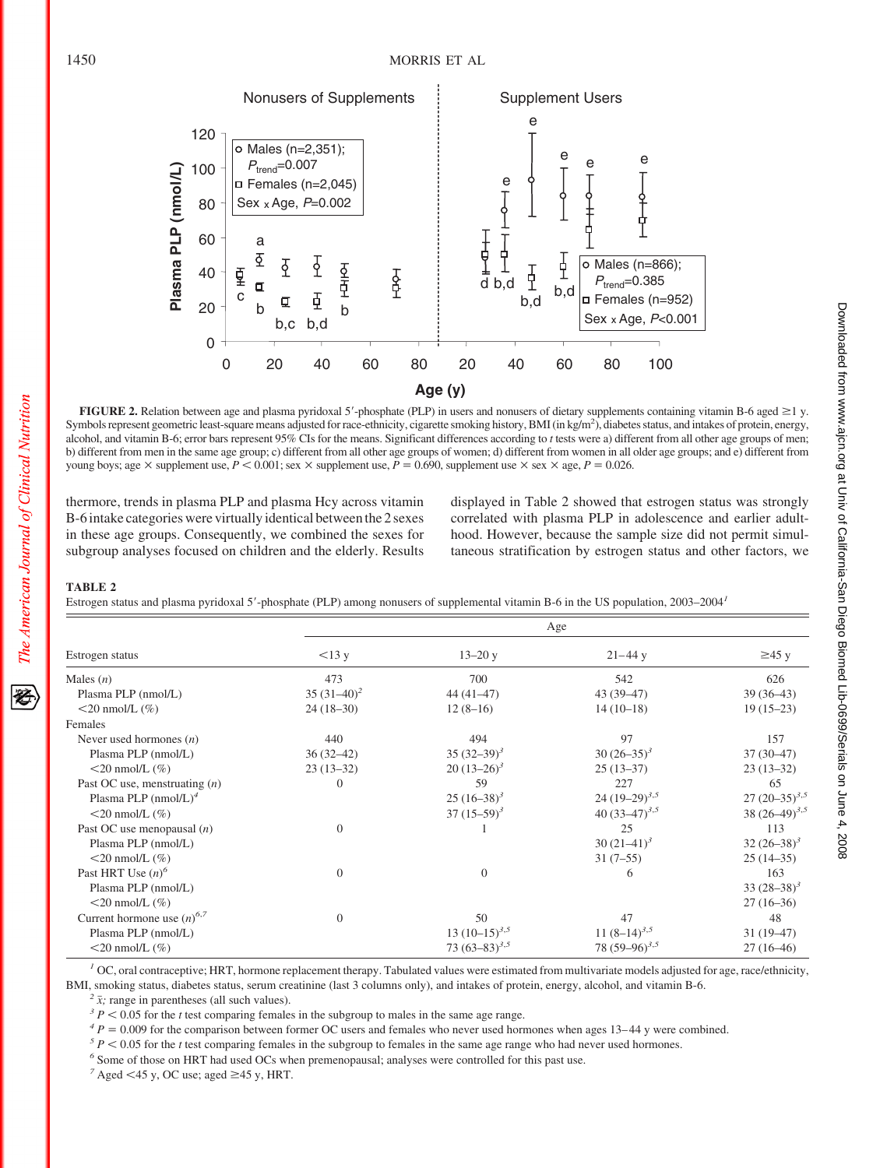

**FIGURE 2.** Relation between age and plasma pyridoxal 5'-phosphate (PLP) in users and nonusers of dietary supplements containing vitamin B-6 aged  $\geq$ 1 y. Symbols represent geometric least-square means adjusted for race-ethnicity, cigarette smoking history, BMI (in kg/m<sup>2</sup>), diabetes status, and intakes of protein, energy, alcohol, and vitamin B-6; error bars represent 95% CIs for the means. Significant differences according to *t* tests were a) different from all other age groups of men; b) different from men in the same age group; c) different from all other age groups of women; d) different from women in all older age groups; and e) different from young boys; age  $\times$  supplement use,  $P \le 0.001$ ; sex  $\times$  supplement use,  $P = 0.690$ , supplement use  $\times$  sex  $\times$  age,  $P = 0.026$ .

thermore, trends in plasma PLP and plasma Hcy across vitamin B-6 intake categories were virtually identical between the 2 sexes in these age groups. Consequently, we combined the sexes for subgroup analyses focused on children and the elderly. Results

displayed in Table 2 showed that estrogen status was strongly correlated with plasma PLP in adolescence and earlier adulthood. However, because the sample size did not permit simultaneous stratification by estrogen status and other factors, we

#### **TABLE 2**

The American Journal of Clinical Nutrition

豾

Estrogen status and plasma pyridoxal 5'-phosphate (PLP) among nonusers of supplemental vitamin B-6 in the US population, 2003–2004<sup>*1*</sup>

|                                 | Age            |                    |                    |                    |  |  |
|---------------------------------|----------------|--------------------|--------------------|--------------------|--|--|
| Estrogen status                 | $<13$ y        | $13 - 20y$         | $21 - 44$ y        | $\geq$ 45 y        |  |  |
| Males $(n)$                     | 473            | 700                | 542                | 626                |  |  |
| Plasma PLP (nmol/L)             | $35(31-40)^2$  | $44(41-47)$        | $43(39 - 47)$      | $39(36-43)$        |  |  |
| $<$ 20 nmol/L $(\% )$           | $24(18-30)$    | $12(8-16)$         | $14(10-18)$        | $19(15-23)$        |  |  |
| Females                         |                |                    |                    |                    |  |  |
| Never used hormones $(n)$       | 440            | 494                | 97                 | 157                |  |  |
| Plasma PLP (nmol/L)             | $36(32-42)$    | $35(32-39)^3$      | $30(26-35)^3$      | $37(30-47)$        |  |  |
| $<$ 20 nmol/L $(\% )$           | $23(13-32)$    | $20(13-26)^3$      | $25(13-37)$        | $23(13-32)$        |  |  |
| Past OC use, menstruating $(n)$ | $\Omega$       | 59                 | 227                | 65                 |  |  |
| Plasma PLP $(nmol/L)^4$         |                | $25(16-38)^3$      | 24 $(19-29)^{3,5}$ | 27 $(20-35)^{3,5}$ |  |  |
| $<$ 20 nmol/L $(\% )$           |                | $37(15-59)^3$      | 40 $(33-47)^{3,5}$ | 38 $(26-49)^{3,5}$ |  |  |
| Past OC use menopausal $(n)$    | $\Omega$       |                    | 25                 | 113                |  |  |
| Plasma PLP (nmol/L)             |                |                    | $30(21-41)^3$      | $32(26-38)^3$      |  |  |
| $<$ 20 nmol/L $(\% )$           |                |                    | $31(7-55)$         | $25(14-35)$        |  |  |
| Past HRT Use $(n)^6$            | $\Omega$       | $\overline{0}$     | 6                  | 163                |  |  |
| Plasma PLP (nmol/L)             |                |                    |                    | 33 $(28-38)^3$     |  |  |
| $<$ 20 nmol/L $(\% )$           |                |                    |                    | $27(16-36)$        |  |  |
| Current hormone use $(n)^{6,7}$ | $\overline{0}$ | 50                 | 47                 | 48                 |  |  |
| Plasma PLP (nmol/L)             |                | 13 $(10-15)^{3,5}$ | 11 $(8-14)^{3,5}$  | $31(19-47)$        |  |  |
| $<$ 20 nmol/L $(\% )$           |                | 73 $(63-83)^{3,5}$ | 78 $(59-96)^{3,5}$ | $27(16-46)$        |  |  |

<sup>*1*</sup> OC, oral contraceptive; HRT, hormone replacement therapy. Tabulated values were estimated from multivariate models adjusted for age, race/ethnicity, BMI, smoking status, diabetes status, serum creatinine (last 3 columns only), and intakes of protein, energy, alcohol, and vitamin B-6.

*<sup>2</sup>*  $\bar{x}$ *;* range in parentheses (all such values). *3 P* < 0.05 for the *t* test comparing females in the subgroup to males in the same age range.

*<sup>4</sup> P* 0.009 for the comparison between former OC users and females who never used hormones when ages 13– 44 y were combined.

 $5P < 0.05$  for the *t* test comparing females in the subgroup to females in the same age range who had never used hormones.

*<sup>6</sup>* Some of those on HRT had used OCs when premenopausal; analyses were controlled for this past use.

 $^7$  Aged  $<$  45 y, OC use; aged  $\geq$  45 y, HRT.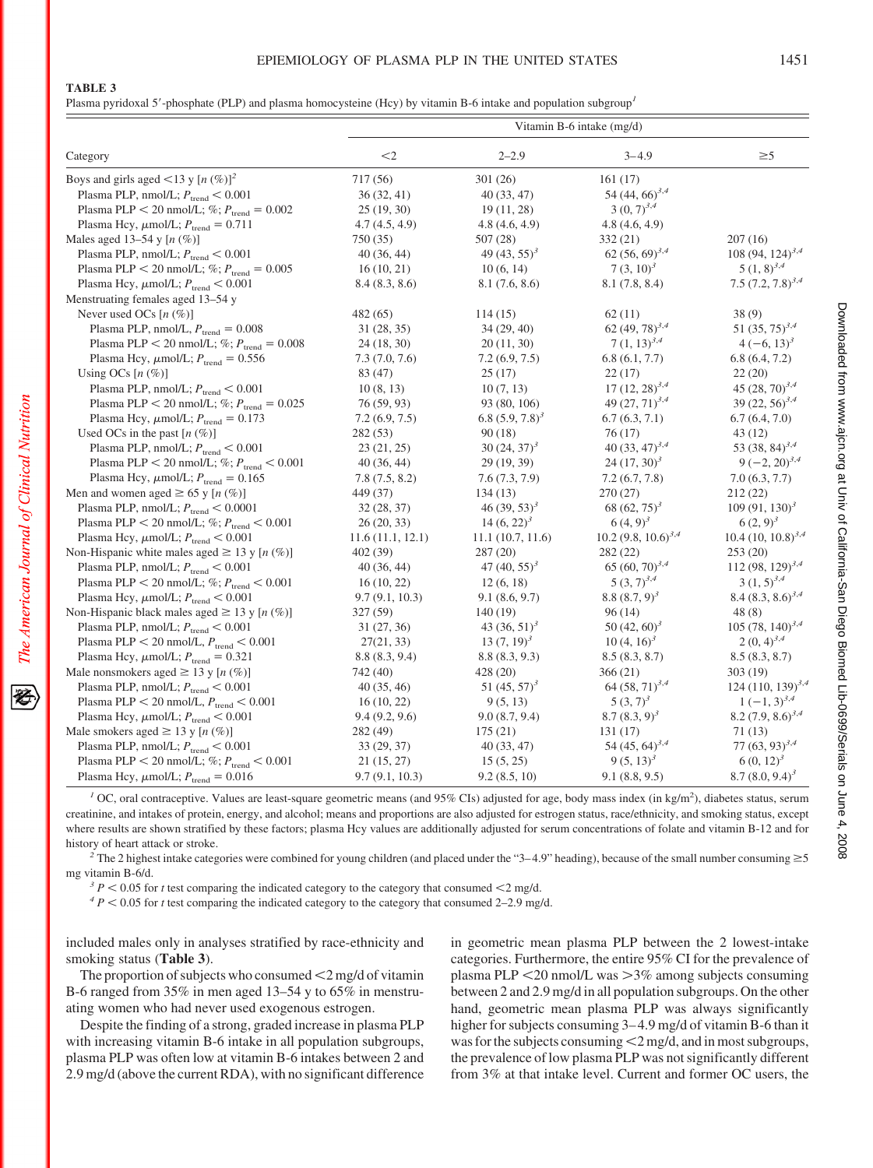Downloaded from www.ajcn.org at Univ of California-San Diego Biomed Lib-0699/Serials on June 4, 2008 Downloadedfrom [www.ajcn.org](http://www.ajcn.org) at Univ of California-San Diego Biomed Lib-0699/Serials on June 4, 2008

Plasma pyridoxal 5'-phosphate (PLP) and plasma homocysteine (Hcy) by vitamin B-6 intake and population subgroup<sup>1</sup>

|                                                            | Vitamin B-6 intake (mg/d) |                          |                            |                               |  |
|------------------------------------------------------------|---------------------------|--------------------------|----------------------------|-------------------------------|--|
| Category                                                   | $\leq$ 2                  | $2 - 2.9$                | $3 - 4.9$                  | $\geq 5$                      |  |
| Boys and girls aged <13 y $[n (\%)]^2$                     | 717 (56)                  | 301 (26)                 | 161(17)                    |                               |  |
| Plasma PLP, nmol/L; $P_{\text{trend}} < 0.001$             | 36(32, 41)                | 40(33, 47)               | 54 (44, $66^{3,4}$ )       |                               |  |
| Plasma PLP < 20 nmol/L; %; $P_{\text{trend}} = 0.002$      | 25(19, 30)                | 19(11, 28)               | 3 $(0, 7)^{3, 4}$          |                               |  |
| Plasma Hcy, $\mu$ mol/L; $P_{\text{trend}} = 0.711$        | 4.7(4.5, 4.9)             | 4.8(4.6, 4.9)            | 4.8(4.6, 4.9)              |                               |  |
| Males aged 13–54 y [ $n$ (%)]                              | 750 (35)                  | 507 (28)                 | 332 (21)                   | 207(16)                       |  |
| Plasma PLP, nmol/L; $P_{\text{trend}} < 0.001$             | 40(36, 44)                | 49 (43, 55) <sup>3</sup> | $62(56, 69)^{3,4}$         | $108(94, 124)^{3,4}$          |  |
| Plasma PLP < 20 nmol/L; %; $P_{\text{trend}} = 0.005$      | 16(10, 21)                | 10(6, 14)                | $7(3, 10)^3$               | $5(1,8)^{3,4}$                |  |
| Plasma Hcy, $\mu$ mol/L; $P_{\text{trend}} < 0.001$        | 8.4(8.3, 8.6)             | 8.1(7.6, 8.6)            | 8.1(7.8, 8.4)              | 7.5 $(7.2, 7.8)^{3,4}$        |  |
| Menstruating females aged 13–54 y                          |                           |                          |                            |                               |  |
| Never used OCs $[n (%)]$                                   | 482 (65)                  | 114(15)                  | 62(11)                     | 38(9)                         |  |
| Plasma PLP, nmol/L, $P_{\text{trend}} = 0.008$             | 31(28, 35)                | 34(29, 40)               | 62 (49, 78) <sup>3,4</sup> | 51 $(35, 75)^{3,4}$           |  |
| Plasma PLP < 20 nmol/L; %; $P_{\text{trend}} = 0.008$      | 24 (18, 30)               | 20(11, 30)               | 7 $(1, 13)^{3, 4}$         | $4(-6, 13)^3$                 |  |
| Plasma Hcy, $\mu$ mol/L; $P_{\text{trend}} = 0.556$        | 7.3(7.0, 7.6)             | 7.2(6.9, 7.5)            | 6.8(6.1, 7.7)              | 6.8(6.4, 7.2)                 |  |
| Using OCs $[n \ (\%)]$                                     | 83 (47)                   | 25(17)                   | 22(17)                     | 22(20)                        |  |
| Plasma PLP, nmol/L; $P_{\text{trend}} < 0.001$             | 10(8, 13)                 | 10(7, 13)                | $17(12, 28)^{3,4}$         | 45 $(28, 70)^{3,4}$           |  |
| Plasma PLP < 20 nmol/L; %; $P_{\text{trend}} = 0.025$      | 76 (59, 93)               | 93 (80, 106)             | 49 $(27, 71)^{3,4}$        | $39(22, 56)^{3,4}$            |  |
| Plasma Hcy, $\mu$ mol/L; $P_{\text{trend}} = 0.173$        | 7.2(6.9, 7.5)             | $6.8(5.9, 7.8)^3$        | 6.7(6.3, 7.1)              | 6.7(6.4, 7.0)                 |  |
| Used OCs in the past $[n (\%)]$                            | 282 (53)                  | 90(18)                   | 76(17)                     | 43(12)                        |  |
| Plasma PLP, nmol/L; $P_{\text{trend}} < 0.001$             | 23(21, 25)                | $30(24, 37)^3$           | 40 $(33, 47)^{3,4}$        | 53 (38, 84) <sup>3,4</sup>    |  |
| Plasma PLP < 20 nmol/L; %; $P_{\text{trend}}$ < 0.001      | 40(36, 44)                | 29 (19, 39)              | $24(17, 30)^3$             | $9(-2, 20)^{3, 4}$            |  |
| Plasma Hcy, $\mu$ mol/L; $P_{\text{trend}} = 0.165$        | 7.8(7.5, 8.2)             | 7.6(7.3, 7.9)            | 7.2(6.7, 7.8)              | 7.0(6.3, 7.7)                 |  |
| Men and women aged $\geq 65$ y [n (%)]                     | 449 (37)                  | 134 (13)                 | 270 (27)                   | 212(22)                       |  |
| Plasma PLP, nmol/L; $P_{\text{trend}} < 0.0001$            | 32(28, 37)                | $46(39,53)^3$            | 68 $(62, 75)^3$            | $109(91, 130)^3$              |  |
| Plasma PLP < 20 nmol/L; %; $P_{\text{trend}}$ < 0.001      | 26(20, 33)                | $14(6, 22)^3$            | $6(4, 9)^3$                | $(2, 9)^3$                    |  |
| Plasma Hcy, $\mu \mathrm{mol/L}; P_\mathrm{trend} < 0.001$ | 11.6(11.1, 12.1)          | 11.1(10.7, 11.6)         | $10.2 (9.8, 10.6)^{3,4}$   | $10.4 (10, 10.8)^{3,4}$       |  |
| Non-Hispanic white males aged $\geq$ 13 y [n (%)]          | 402 (39)                  | 287(20)                  | 282(22)                    | 253(20)                       |  |
| Plasma PLP, nmol/L; $P_{\text{trend}} < 0.001$             | 40(36, 44)                | 47 $(40, 55)^3$          | 65 (60, 70) <sup>3,4</sup> | 112 (98, 129) <sup>3,4</sup>  |  |
| Plasma PLP < 20 nmol/L; %; $P_{\text{trend}}$ < 0.001      | 16(10, 22)                | 12(6, 18)                | $5(3,7)^{3,4}$             | $3(1, 5)^{3,4}$               |  |
| Plasma Hcy, $\mu$ mol/L; $P_{\text{trend}} < 0.001$        | 9.7(9.1, 10.3)            | 9.1(8.6, 9.7)            | 8.8 $(8.7, 9)^3$           | 8.4 $(8.3, 8.6)^{3,4}$        |  |
| Non-Hispanic black males aged $\geq$ 13 y [n (%)]          | 327 (59)                  | 140 (19)                 | 96(14)                     | 48(8)                         |  |
| Plasma PLP, nmol/L; $P_{\text{trend}} < 0.001$             | 31(27, 36)                | 43 $(36, 51)^3$          | $50(42, 60)^3$             | $105(78, 140)^{3,4}$          |  |
| Plasma PLP < 20 nmol/L, $P_{\text{trend}}$ < 0.001         | 27(21, 33)                | $13(7, 19)^3$            | $10(4, 16)^3$              | $2(0, 4)^{3,4}$               |  |
| Plasma Hcy, $\mu$ mol/L; $P_{\text{trend}} = 0.321$        | 8.8 (8.3, 9.4)            | 8.8 (8.3, 9.3)           | 8.5(8.3, 8.7)              | 8.5(8.3, 8.7)                 |  |
| Male nonsmokers aged $\geq$ 13 y [n (%)]                   | 742 (40)                  | 428 (20)                 | 366(21)                    | 303(19)                       |  |
| Plasma PLP, nmol/L; $P_{\text{trend}} < 0.001$             | 40(35, 46)                | 51 $(45, 57)^3$          | 64 $(58, 71)^{3,4}$        | 124 (110, 139) <sup>3,4</sup> |  |
| Plasma PLP < 20 nmol/L, $P_{\text{trend}}$ < 0.001         | 16(10, 22)                | 9(5, 13)                 | $5(3, 7)^3$                | $1(-1, 3)^{3,4}$              |  |
| Plasma Hcy, $\mu$ mol/L; $P_{\text{trend}} < 0.001$        | 9.4(9.2, 9.6)             | 9.0(8.7, 9.4)            | $8.7(8.3, 9)^3$            | $8.2 (7.9, 8.6)^{3,4}$        |  |
| Male smokers aged $\geq$ 13 y [n (%)]                      | 282 (49)                  | 175(21)                  | 131(17)                    | 71 (13)                       |  |
| Plasma PLP, nmol/L; $P_{\text{trend}} < 0.001$             | 33(29, 37)                | 40(33, 47)               | 54 (45, 64) <sup>3,4</sup> | 77 $(63, 93)^{3,4}$           |  |
| Plasma PLP < 20 nmol/L; %; $P_{\text{trend}}$ < 0.001      | 21(15, 27)                | 15(5, 25)                | $9(5, 13)^3$               | $6(0, 12)^3$                  |  |
| Plasma Hcy, $\mu$ mol/L; $P_{\text{trend}} = 0.016$        | 9.7(9.1, 10.3)            | 9.2(8.5, 10)             | 9.1(8.8, 9.5)              | $8.7(8.0, 9.4)^3$             |  |

<sup>*1*</sup> OC, oral contraceptive. Values are least-square geometric means (and 95% CIs) adjusted for age, body mass index (in kg/m<sup>2</sup>), diabetes status, serum creatinine, and intakes of protein, energy, and alcohol; means and proportions are also adjusted for estrogen status, race/ethnicity, and smoking status, except where results are shown stratified by these factors; plasma Hcy values are additionally adjusted for serum concentrations of folate and vitamin B-12 and for history of heart attack or stroke.

<sup>2</sup> The 2 highest intake categories were combined for young children (and placed under the "3–4.9" heading), because of the small number consuming  $\geq 5$ mg vitamin B-6/d.

 $3 P \le 0.05$  for *t* test comparing the indicated category to the category that consumed  $\le 2$  mg/d.

 $^{4}P$  < 0.05 for *t* test comparing the indicated category to the category that consumed 2–2.9 mg/d.

included males only in analyses stratified by race-ethnicity and smoking status (**Table 3**).

The proportion of subjects who consumed  $\leq 2$  mg/d of vitamin B-6 ranged from 35% in men aged 13–54 y to 65% in menstruating women who had never used exogenous estrogen.

Despite the finding of a strong, graded increase in plasma PLP with increasing vitamin B-6 intake in all population subgroups, plasma PLP was often low at vitamin B-6 intakes between 2 and 2.9 mg/d (above the current RDA), with no significant difference in geometric mean plasma PLP between the 2 lowest-intake categories. Furthermore, the entire 95% CI for the prevalence of plasma PLP <20 nmol/L was >3% among subjects consuming between 2 and 2.9 mg/d in all population subgroups. On the other hand, geometric mean plasma PLP was always significantly higher for subjects consuming 3-4.9 mg/d of vitamin B-6 than it was for the subjects consuming  $\leq 2$  mg/d, and in most subgroups, the prevalence of low plasma PLP was not significantly different from 3% at that intake level. Current and former OC users, the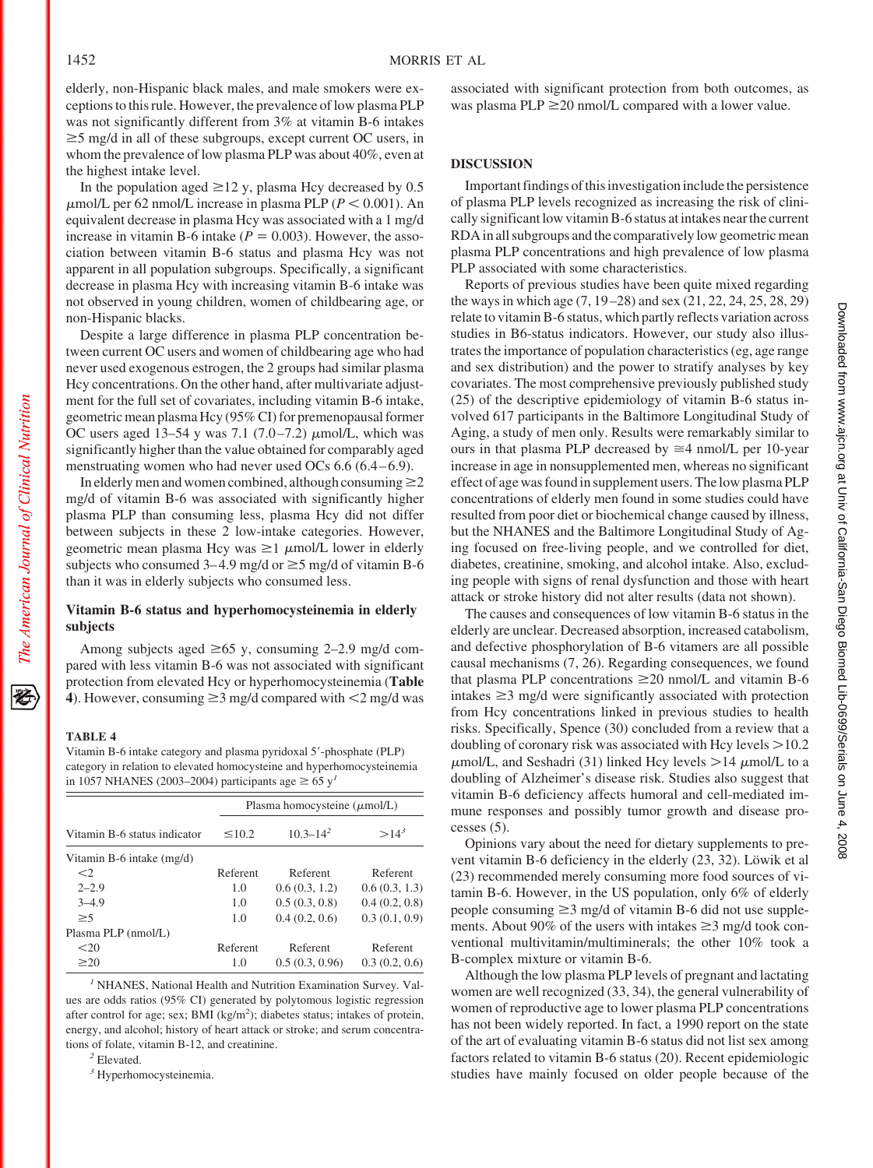elderly, non-Hispanic black males, and male smokers were exceptions to this rule. However, the prevalence of low plasma PLP was not significantly different from 3% at vitamin B-6 intakes  $\geq$ 5 mg/d in all of these subgroups, except current OC users, in whom the prevalence of low plasma PLP was about 40%, even at the highest intake level.

In the population aged  $\geq$  12 y, plasma Hcy decreased by 0.5  $\mu$ mol/L per 62 nmol/L increase in plasma PLP ( $P < 0.001$ ). An equivalent decrease in plasma Hcy was associated with a 1 mg/d increase in vitamin B-6 intake  $(P = 0.003)$ . However, the association between vitamin B-6 status and plasma Hcy was not apparent in all population subgroups. Specifically, a significant decrease in plasma Hcy with increasing vitamin B-6 intake was not observed in young children, women of childbearing age, or non-Hispanic blacks.

Despite a large difference in plasma PLP concentration between current OC users and women of childbearing age who had never used exogenous estrogen, the 2 groups had similar plasma Hcy concentrations. On the other hand, after multivariate adjustment for the full set of covariates, including vitamin B-6 intake, geometric mean plasma Hcy (95% CI) for premenopausal former OC users aged 13-54 y was 7.1 (7.0-7.2)  $\mu$ mol/L, which was significantly higher than the value obtained for comparably aged menstruating women who had never used OCs 6.6 (6.4–6.9).

In elderly men and women combined, although consuming  $\geq$  2 mg/d of vitamin B-6 was associated with significantly higher plasma PLP than consuming less, plasma Hcy did not differ between subjects in these 2 low-intake categories. However, geometric mean plasma Hcy was  $\geq 1$   $\mu$ mol/L lower in elderly subjects who consumed  $3-4.9$  mg/d or  $\geq 5$  mg/d of vitamin B-6 than it was in elderly subjects who consumed less.

#### **Vitamin B-6 status and hyperhomocysteinemia in elderly subjects**

Among subjects aged  $\geq 65$  y, consuming 2–2.9 mg/d compared with less vitamin B-6 was not associated with significant protection from elevated Hcy or hyperhomocysteinemia (**Table 4**). However, consuming  $\geq$  3 mg/d compared with  $\lt$  2 mg/d was

#### **TABLE 4**

The American Journal of Clinical Nutrition

Vitamin B-6 intake category and plasma pyridoxal 5'-phosphate (PLP) category in relation to elevated homocysteine and hyperhomocysteinemia in 1057 NHANES (2003–2004) participants age  $\geq 65$  y<sup>1</sup>

|                              | Plasma homocysteine $(\mu$ mol/L) |                |               |  |
|------------------------------|-----------------------------------|----------------|---------------|--|
| Vitamin B-6 status indicator | $\leq 10.2$                       | $10.3 - 14^2$  | $>14^3$       |  |
| Vitamin B-6 intake $(mg/d)$  |                                   |                |               |  |
| $\langle$                    | Referent                          | Referent       | Referent      |  |
| $2 - 2.9$                    | 1.0                               | 0.6(0.3, 1.2)  | 0.6(0.3, 1.3) |  |
| $3 - 4.9$                    | 1.0                               | 0.5(0.3, 0.8)  | 0.4(0.2, 0.8) |  |
| $\geq 5$                     | 1.0                               | 0.4(0.2, 0.6)  | 0.3(0.1, 0.9) |  |
| Plasma PLP (nmol/L)          |                                   |                |               |  |
| < 20                         | Referent                          | Referent       | Referent      |  |
| $\geq 20$                    | 1.0                               | 0.5(0.3, 0.96) | 0.3(0.2, 0.6) |  |

*<sup>1</sup>* NHANES, National Health and Nutrition Examination Survey. Values are odds ratios (95% CI) generated by polytomous logistic regression after control for age; sex; BMI ( $\text{kg/m}^2$ ); diabetes status; intakes of protein, energy, and alcohol; history of heart attack or stroke; and serum concentrations of folate, vitamin B-12, and creatinine.

*<sup>2</sup>* Elevated.

*<sup>3</sup>* Hyperhomocysteinemia.

associated with significant protection from both outcomes, as was plasma PLP  $\geq$  20 nmol/L compared with a lower value.

#### **DISCUSSION**

Important findings of this investigation include the persistence of plasma PLP levels recognized as increasing the risk of clinically significant low vitamin B-6 status at intakes near the current RDA in all subgroups and the comparatively low geometric mean plasma PLP concentrations and high prevalence of low plasma PLP associated with some characteristics.

Reports of previous studies have been quite mixed regarding the ways in which age (7, 19 –28) and sex (21, 22, 24, 25, 28, 29) relate to vitamin B-6 status, which partly reflects variation across studies in B6-status indicators. However, our study also illustrates the importance of population characteristics (eg, age range and sex distribution) and the power to stratify analyses by key covariates. The most comprehensive previously published study (25) of the descriptive epidemiology of vitamin B-6 status involved 617 participants in the Baltimore Longitudinal Study of Aging, a study of men only. Results were remarkably similar to ours in that plasma PLP decreased by  $\approx$  4 nmol/L per 10-year increase in age in nonsupplemented men, whereas no significant effect of age was found in supplement users. The low plasma PLP concentrations of elderly men found in some studies could have resulted from poor diet or biochemical change caused by illness, but the NHANES and the Baltimore Longitudinal Study of Aging focused on free-living people, and we controlled for diet, diabetes, creatinine, smoking, and alcohol intake. Also, excluding people with signs of renal dysfunction and those with heart attack or stroke history did not alter results (data not shown).

The causes and consequences of low vitamin B-6 status in the elderly are unclear. Decreased absorption, increased catabolism, and defective phosphorylation of B-6 vitamers are all possible causal mechanisms (7, 26). Regarding consequences, we found that plasma PLP concentrations  $\geq$  20 nmol/L and vitamin B-6 intakes  $\geq$ 3 mg/d were significantly associated with protection from Hcy concentrations linked in previous studies to health risks. Specifically, Spence (30) concluded from a review that a doubling of coronary risk was associated with Hcy levels > 10.2  $\mu$ mol/L, and Seshadri (31) linked Hcy levels  $>$ 14  $\mu$ mol/L to a doubling of Alzheimer's disease risk. Studies also suggest that vitamin B-6 deficiency affects humoral and cell-mediated immune responses and possibly tumor growth and disease processes (5).

Opinions vary about the need for dietary supplements to prevent vitamin B-6 deficiency in the elderly (23, 32). Löwik et al (23) recommended merely consuming more food sources of vitamin B-6. However, in the US population, only 6% of elderly people consuming  $\geq 3$  mg/d of vitamin B-6 did not use supplements. About 90% of the users with intakes  $\geq 3$  mg/d took conventional multivitamin/multiminerals; the other 10% took a B-complex mixture or vitamin B-6.

Although the low plasma PLP levels of pregnant and lactating women are well recognized (33, 34), the general vulnerability of women of reproductive age to lower plasma PLP concentrations has not been widely reported. In fact, a 1990 report on the state of the art of evaluating vitamin B-6 status did not list sex among factors related to vitamin B-6 status (20). Recent epidemiologic studies have mainly focused on older people because of the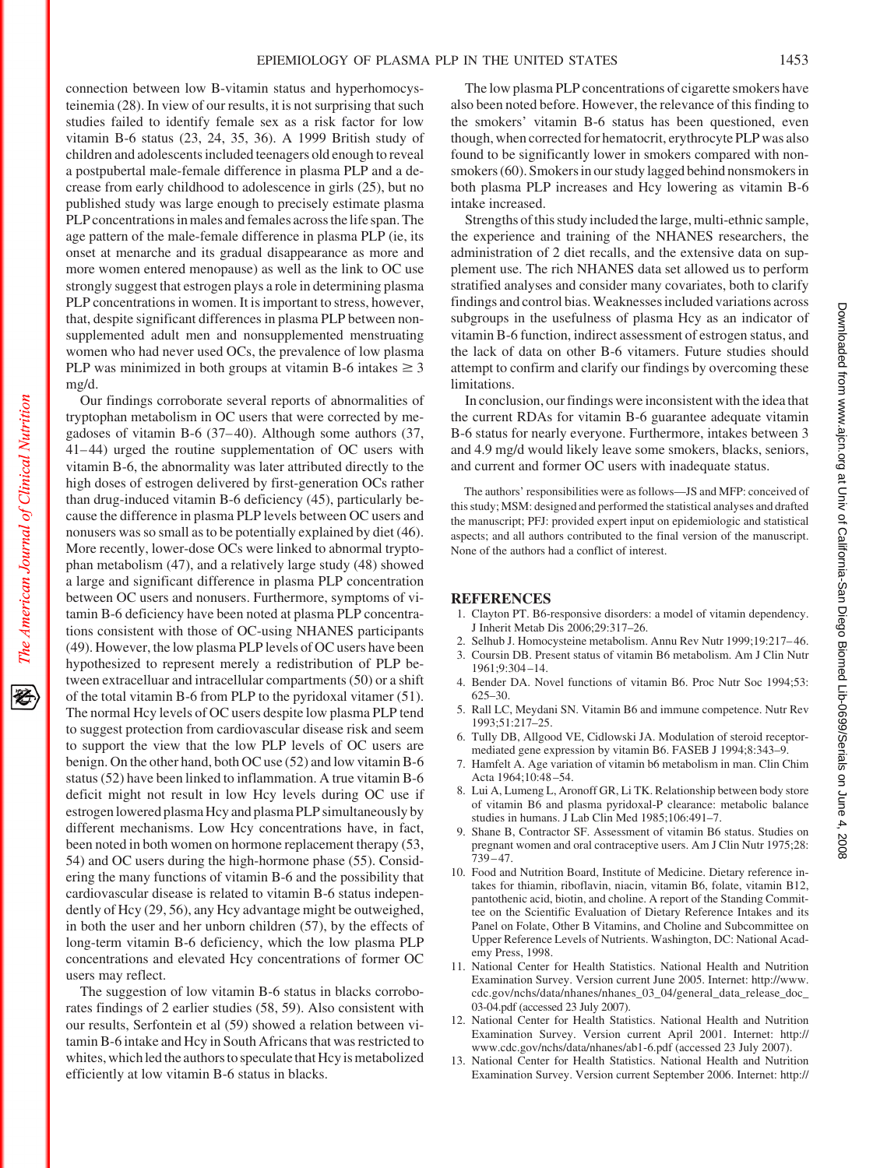connection between low B-vitamin status and hyperhomocysteinemia (28). In view of our results, it is not surprising that such studies failed to identify female sex as a risk factor for low vitamin B-6 status (23, 24, 35, 36). A 1999 British study of children and adolescents included teenagers old enough to reveal a postpubertal male-female difference in plasma PLP and a decrease from early childhood to adolescence in girls (25), but no published study was large enough to precisely estimate plasma PLP concentrations in males and females across the life span. The age pattern of the male-female difference in plasma PLP (ie, its onset at menarche and its gradual disappearance as more and more women entered menopause) as well as the link to OC use strongly suggest that estrogen plays a role in determining plasma PLP concentrations in women. It is important to stress, however, that, despite significant differences in plasma PLP between nonsupplemented adult men and nonsupplemented menstruating women who had never used OCs, the prevalence of low plasma PLP was minimized in both groups at vitamin B-6 intakes  $\geq 3$ mg/d.

Our findings corroborate several reports of abnormalities of tryptophan metabolism in OC users that were corrected by megadoses of vitamin B-6 (37–40). Although some authors (37, 41– 44) urged the routine supplementation of OC users with vitamin B-6, the abnormality was later attributed directly to the high doses of estrogen delivered by first-generation OCs rather than drug-induced vitamin B-6 deficiency (45), particularly because the difference in plasma PLP levels between OC users and nonusers was so small as to be potentially explained by diet (46). More recently, lower-dose OCs were linked to abnormal tryptophan metabolism (47), and a relatively large study (48) showed a large and significant difference in plasma PLP concentration between OC users and nonusers. Furthermore, symptoms of vitamin B-6 deficiency have been noted at plasma PLP concentrations consistent with those of OC-using NHANES participants (49). However, the low plasma PLP levels of OC users have been hypothesized to represent merely a redistribution of PLP between extracelluar and intracellular compartments (50) or a shift of the total vitamin B-6 from PLP to the pyridoxal vitamer (51). The normal Hcy levels of OC users despite low plasma PLP tend to suggest protection from cardiovascular disease risk and seem to support the view that the low PLP levels of OC users are benign. On the other hand, both OC use (52) and low vitamin B-6 status (52) have been linked to inflammation. A true vitamin B-6 deficit might not result in low Hcy levels during OC use if estrogenlowered plasma Hcy and plasma PLP simultaneously by different mechanisms. Low Hcy concentrations have, in fact, been noted in both women on hormone replacement therapy (53, 54) and OC users during the high-hormone phase (55). Considering the many functions of vitamin B-6 and the possibility that cardiovascular disease is related to vitamin B-6 status independently of Hcy (29, 56), any Hcy advantage might be outweighed, in both the user and her unborn children (57), by the effects of long-term vitamin B-6 deficiency, which the low plasma PLP concentrations and elevated Hcy concentrations of former OC users may reflect.

The suggestion of low vitamin B-6 status in blacks corroborates findings of 2 earlier studies (58, 59). Also consistent with our results, Serfontein et al (59) showed a relation between vitamin B-6 intake and Hcy in South Africans that was restricted to whites, which led the authors to speculate that Hcy is metabolized efficiently at low vitamin B-6 status in blacks.

The low plasma PLP concentrations of cigarette smokers have also been noted before. However, the relevance of this finding to the smokers' vitamin B-6 status has been questioned, even though, when corrected for hematocrit, erythrocyte PLP was also found to be significantly lower in smokers compared with nonsmokers (60). Smokers in our study lagged behind nonsmokers in both plasma PLP increases and Hcy lowering as vitamin B-6 intake increased.

Strengths of this study included the large, multi-ethnic sample, the experience and training of the NHANES researchers, the administration of 2 diet recalls, and the extensive data on supplement use. The rich NHANES data set allowed us to perform stratified analyses and consider many covariates, both to clarify findings and control bias.Weaknesses included variations across subgroups in the usefulness of plasma Hcy as an indicator of vitamin B-6 function, indirect assessment of estrogen status, and the lack of data on other B-6 vitamers. Future studies should attempt to confirm and clarify our findings by overcoming these limitations.

In conclusion, our findings were inconsistent with the idea that the current RDAs for vitamin B-6 guarantee adequate vitamin B-6 status for nearly everyone. Furthermore, intakes between 3 and 4.9 mg/d would likely leave some smokers, blacks, seniors, and current and former OC users with inadequate status.

The authors' responsibilities were as follows—JS and MFP: conceived of this study; MSM: designed and performed the statistical analyses and drafted the manuscript; PFJ: provided expert input on epidemiologic and statistical aspects; and all authors contributed to the final version of the manuscript. None of the authors had a conflict of interest.

# **REFERENCES**

- 1. Clayton PT. B6-responsive disorders: a model of vitamin dependency. J Inherit Metab Dis 2006;29:317–26.
- 2. Selhub J. Homocysteine metabolism. Annu Rev Nutr 1999;19:217– 46. 3. Coursin DB. Present status of vitamin B6 metabolism. Am J Clin Nutr
- 1961;9:304 –14. 4. Bender DA. Novel functions of vitamin B6. Proc Nutr Soc 1994;53:
- 625–30. 5. Rall LC, Meydani SN. Vitamin B6 and immune competence. Nutr Rev
- 1993;51:217–25. 6. Tully DB, Allgood VE, Cidlowski JA. Modulation of steroid receptormediated gene expression by vitamin B6. FASEB J 1994;8:343–9.
- 7. Hamfelt A. Age variation of vitamin b6 metabolism in man. Clin Chim Acta 1964;10:48 –54.
- 8. Lui A, Lumeng L, Aronoff GR, Li TK. Relationship between body store of vitamin B6 and plasma pyridoxal-P clearance: metabolic balance studies in humans. J Lab Clin Med 1985;106:491–7.
- 9. Shane B, Contractor SF. Assessment of vitamin B6 status. Studies on pregnant women and oral contraceptive users. Am J Clin Nutr 1975;28:  $739 - 47$ .
- 10. Food and Nutrition Board, Institute of Medicine. Dietary reference intakes for thiamin, riboflavin, niacin, vitamin B6, folate, vitamin B12, pantothenic acid, biotin, and choline. A report of the Standing Committee on the Scientific Evaluation of Dietary Reference Intakes and its Panel on Folate, Other B Vitamins, and Choline and Subcommittee on Upper Reference Levels of Nutrients. Washington, DC: National Academy Press, 1998.
- 11. National Center for Health Statistics. National Health and Nutrition Examination Survey. Version current June 2005. Internet: http://www. cdc.gov/nchs/data/nhanes/nhanes\_03\_04/general\_data\_release\_doc\_ 03-04.pdf (accessed 23 July 2007).
- 12. National Center for Health Statistics. National Health and Nutrition Examination Survey. Version current April 2001. Internet: http:// www.cdc.gov/nchs/data/nhanes/ab1-6.pdf (accessed 23 July 2007).
- 13. National Center for Health Statistics. National Health and Nutrition Examination Survey. Version current September 2006. Internet: http://